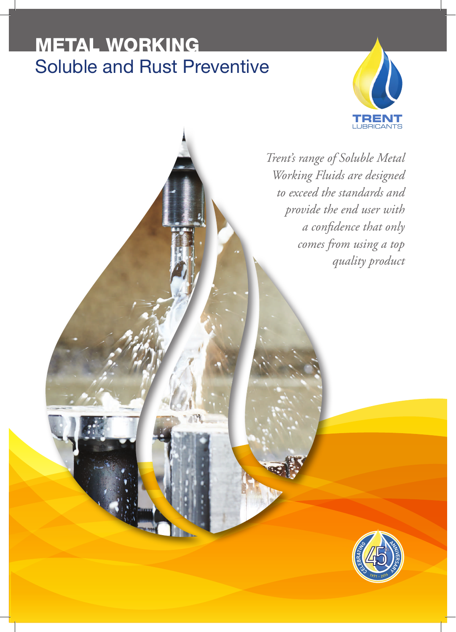# METAL WORKING Soluble and Rust Preventive



*Trent's range of Soluble Metal Working Fluids are designed to exceed the standards and provide the end user with a confidence that only comes from using a top quality product*